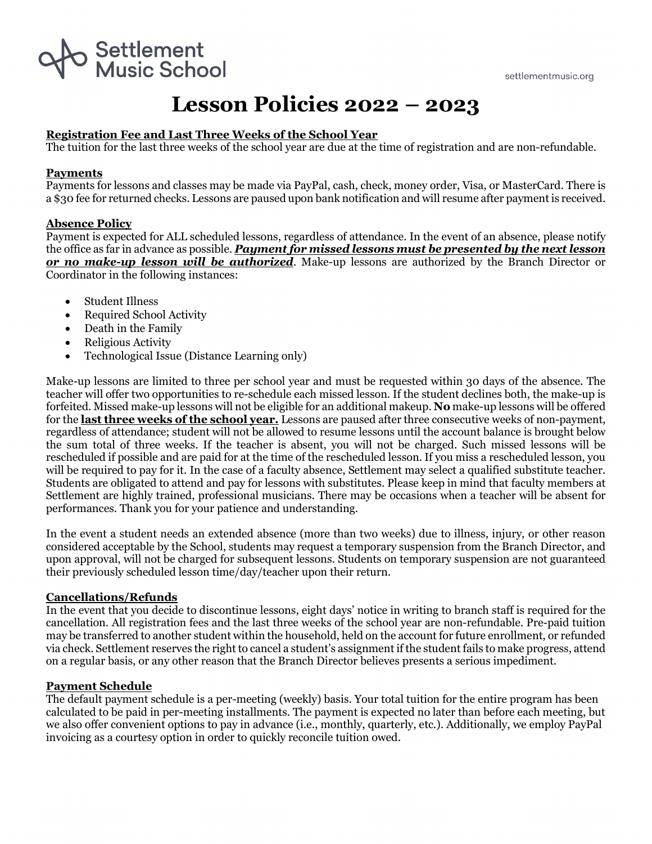

# **Lesson Policies 2022 – 2023**

## **Registration Fee and Last Three Weeks of the School Year**

The tuition for the last three weeks of the school year are due at the time of registration and are non-refundable.

## **Payments**

Payments for lessons and classes may be made via PayPal, cash, check, money order, Visa, or MasterCard. There is a \$30 fee for returned checks. Lessons are paused upon bank notification and will resume after payment is received.

## **Absence Policy**

Payment is expected for ALL scheduled lessons, regardless of attendance. In the event of an absence, please notify the office as far in advance as possible. *Payment for missed lessons must be presented by the next lesson or no make-up lesson will be authorized*. Make-up lessons are authorized by the Branch Director or Coordinator in the following instances:

- Student Illness
- Required School Activity
- Death in the Family
- Religious Activity
- Technological Issue (Distance Learning only)

Make-up lessons are limited to three per school year and must be requested within 30 days of the absence. The teacher will offer two opportunities to re-schedule each missed lesson. If the student declines both, the make-up is forfeited. Missed make-up lessons will not be eligible for an additional makeup. **No** make-up lessons will be offered for the **last three weeks of the school year.** Lessons are paused after three consecutive weeks of non-payment, regardless of attendance; student will not be allowed to resume lessons until the account balance is brought below the sum total of three weeks. If the teacher is absent, you will not be charged. Such missed lessons will be rescheduled if possible and are paid for at the time of the rescheduled lesson. If you miss a rescheduled lesson, you will be required to pay for it. In the case of a faculty absence, Settlement may select a qualified substitute teacher. Students are obligated to attend and pay for lessons with substitutes. Please keep in mind that faculty members at Settlement are highly trained, professional musicians. There may be occasions when a teacher will be absent for performances. Thank you for your patience and understanding.

In the event a student needs an extended absence (more than two weeks) due to illness, injury, or other reason considered acceptable by the School, students may request a temporary suspension from the Branch Director, and upon approval, will not be charged for subsequent lessons. Students on temporary suspension are not guaranteed their previously scheduled lesson time/day/teacher upon their return.

#### **Cancellations/Refunds**

In the event that you decide to discontinue lessons, eight days' notice in writing to branch staff is required for the cancellation. All registration fees and the last three weeks of the school year are non-refundable. Pre-paid tuition may be transferred to another student within the household, held on the account for future enrollment, or refunded via check. Settlement reserves the right to cancel a student's assignment if the student fails to make progress, attend on a regular basis, or any other reason that the Branch Director believes presents a serious impediment.

#### **Payment Schedule**

The default payment schedule is a per-meeting (weekly) basis. Your total tuition for the entire program has been calculated to be paid in per-meeting installments. The payment is expected no later than before each meeting, but we also offer convenient options to pay in advance (i.e., monthly, quarterly, etc.). Additionally, we employ PayPal invoicing as a courtesy option in order to quickly reconcile tuition owed.